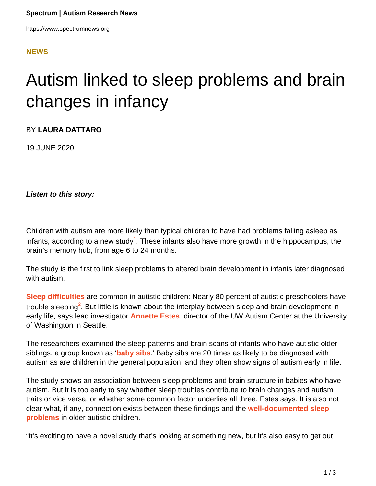## **[NEWS](HTTPS://WWW.SPECTRUMNEWS.ORG/NEWS/)**

## Autism linked to sleep problems and brain changes in infancy

BY **LAURA DATTARO**

19 JUNE 2020

**Listen to this story:**

Children with autism are more likely than typical children to have had problems falling asleep as infants, according to a new study<sup>1</sup>. These infants also have more growth in the hippocampus, the brain's memory hub, from age 6 to 24 months.

The study is the first to link sleep problems to altered brain development in infants later diagnosed with autism.

**[Sleep difficulties](https://www.spectrumnews.org/news/sleep-problems-autism-explained/)** are common in autistic children: Nearly 80 percent of autistic preschoolers have trouble sleeping<sup>2</sup>. But little is known about the interplay between sleep and brain development in early life, says lead investigator **[Annette Estes](https://depts.washington.edu/uwautism/research-team/director-annette-m-estes-ph-d/)**, director of the UW Autism Center at the University of Washington in Seattle.

The researchers examined the sleep patterns and brain scans of infants who have autistic older siblings, a group known as '**[baby sibs](https://www.spectrumnews.org/wiki/baby-sibs/)**.' Baby sibs are 20 times as likely to be diagnosed with autism as are children in the general population, and they often show signs of autism early in life.

The study shows an association between sleep problems and brain structure in babies who have autism. But it is too early to say whether sleep troubles contribute to brain changes and autism traits or vice versa, or whether some common factor underlies all three, Estes says. It is also not clear what, if any, connection exists between these findings and the **[well-documented sleep](https://www.spectrumnews.org/features/deep-dive/wide-awake-why-children-with-autism-struggle-with-sleep/) [problems](https://www.spectrumnews.org/features/deep-dive/wide-awake-why-children-with-autism-struggle-with-sleep/)** in older autistic children.

"It's exciting to have a novel study that's looking at something new, but it's also easy to get out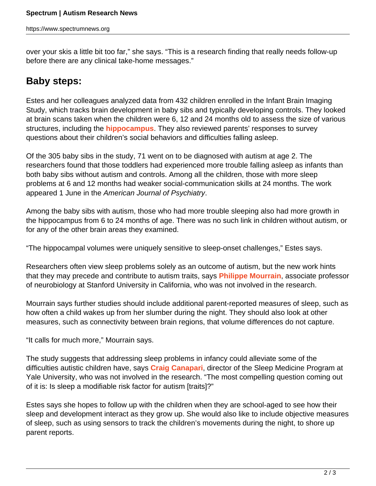over your skis a little bit too far," she says. "This is a research finding that really needs follow-up before there are any clinical take-home messages."

## **Baby steps:**

Estes and her colleagues analyzed data from 432 children enrolled in the Infant Brain Imaging Study, which tracks brain development in baby sibs and typically developing controls. They looked at brain scans taken when the children were 6, 12 and 24 months old to assess the size of various structures, including the **[hippocampus](https://www.spectrumnews.org/news/memory-hub-underlie-social-cognitive-quirks-autism/)**. They also reviewed parents' responses to survey questions about their children's social behaviors and difficulties falling asleep.

Of the 305 baby sibs in the study, 71 went on to be diagnosed with autism at age 2. The researchers found that those toddlers had experienced more trouble falling asleep as infants than both baby sibs without autism and controls. Among all the children, those with more sleep problems at 6 and 12 months had weaker social-communication skills at 24 months. The work appeared 1 June in the American Journal of Psychiatry.

Among the baby sibs with autism, those who had more trouble sleeping also had more growth in the hippocampus from 6 to 24 months of age. There was no such link in children without autism, or for any of the other brain areas they examined.

"The hippocampal volumes were uniquely sensitive to sleep-onset challenges," Estes says.

Researchers often view sleep problems solely as an outcome of autism, but the new work hints that they may precede and contribute to autism traits, says **[Philippe Mourrain](https://www.spectrumnews.org/author/philippemourrain/)**, associate professor of neurobiology at Stanford University in California, who was not involved in the research.

Mourrain says further studies should include additional parent-reported measures of sleep, such as how often a child wakes up from her slumber during the night. They should also look at other measures, such as connectivity between brain regions, that volume differences do not capture.

"It calls for much more," Mourrain says.

The study suggests that addressing sleep problems in infancy could alleviate some of the difficulties autistic children have, says **[Craig Canapari](https://medicine.yale.edu/profile/craig_canapari/)**, director of the Sleep Medicine Program at Yale University, who was not involved in the research. "The most compelling question coming out of it is: Is sleep a modifiable risk factor for autism [traits]?"

Estes says she hopes to follow up with the children when they are school-aged to see how their sleep and development interact as they grow up. She would also like to include objective measures of sleep, such as using sensors to track the children's movements during the night, to shore up parent reports.